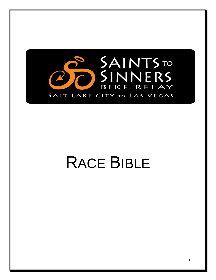

# RACE BIBLE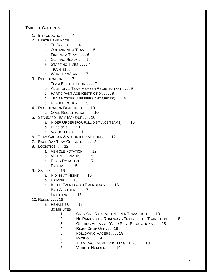TABLE OF CONTENTS

- 1. INTRODUCTION . . . . 4
- 2. BEFORE THE RACE . . . . 4
	- a. TO DO LIST . . . . 4
	- b. ORGANIZING A TEAM . . . . 5
	- c. FINDING A TEAM . . . . 6
	- d. GETTING READY . . . . 6
	- e. STARTING TIMES . . . . 7
	- f. TRAINING ... 7
		- g. WHAT TO WEAR . . . . 7
- 3. REGISTRATION . . . . 7
	- a. TEAM REGISTRATION . . . . 7
	- b. ADDITIONAL TEAM MEMBER REGISTRATION . . . . 9
	- c. PARTICIPANT AGE RESTRICTION . . . . 9
	- d. TEAM ROSTER (MEMBERS AND ORDER) . . . . 9
	- e. REFUND POLICY . . . . 9
- 4. REGISTRATION DEADLINES . . . . 10
	- a. OPEN REGISTRATION . . . . 10
- 5. STANDARD TEAM MAKE-UP . . . . 10
	- a. RIDER ORDER (FOR FULL DISTANCE TEAMS) . . . . 10
	- b. DIVISIONS . . . . 11
	- c. VOLUNTEERS . . . . 11
- 6. TEAM CAPTAIN & VOLUNTEER MEETING . . . . 12
- 7. RACE DAY TEAM CHECK-IN . . . . 12
- 8. LOGISTICS . . . . 12
	- a. VEHICLE ROTATION . . . . 12
	- b. VEHICLE DRIVERS . . . . 15
	- c. RIDER ROTATION . . . . 15
	- d. PACERS . . . . 15
- 9. SAFETY . . . . 16
	- a. RIDING AT NIGHT . . . . 16
	- b. DRIVING . . . . 16
	- c. IN THE EVENT OF AN EMERGENCY . . . . 16
	- d. BAD WEATHER . . . . 17
	- e. LIGHTNING . . . . 17
- 10. RULES . . . . 18
	- a. PENALTIES . . . . 18
		- 30 MINUTES
			- 1. ONLY ONE RACE VEHICLE PER TRANSITION . . . . 18
			- 2. NO PARKING ON ROADWAYS PRIOR TO THE TRANSITION . . . . 18
			- 3. GETTING AHEAD OF YOUR PACE PROJECTIONS . . . . 18
			- 4. RIDER DROP OFF . . . . 18
			- 5. FOLLOWING RACERS . . . . 19
			- 6. PACING . . . . 19
			- 7. TEAM RACE NUMBERS/TIMING CHIPS . . . . 19
			- 8. VEHICLE NUMBERS . . . . 19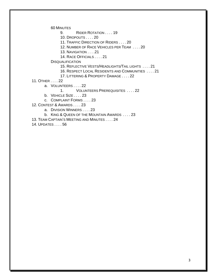60 MINUTES

9. RIDER ROTATION . . . . 19

10. DROPOUTS . . . . 20

11. TRAFFIC DIRECTION OF RIDERS . . . . 20

12. NUMBER OF RACE VEHICLES PER TEAM . . . . 20

13. NAVIGATION . . . .21

14. RACE OFFICIALS . . . . 21

**DISQUALIFICATION** 

15. REFLECTIVE VESTS/HEADLIGHTS/TAIL LIGHTS . . . . 21

16. RESPECT LOCAL RESIDENTS AND COMMUNITIES . . . . 21

17. LITTERING & PROPERTY DAMAGE . . . . 22

11. OTHER . . . . 22

a. VOLUNTEERS . . . . 22

1. VOLUNTEERS PREREQUISITES . . . . 22

b. VEHICLE SIZE . . . . 23

c. COMPLAINT FORMS . . . . 23

12. CONTEST & AWARDS . . . . 23

a. DIVISION WINNERS . . . . 23

b. KING & QUEEN OF THE MOUNTAIN AWARDS . . . . 23

13. TEAM CAPTAIN'S MEETING AND MINUTES . . . . 24

14. UPDATES . . . . 56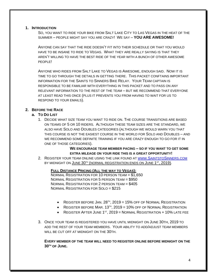# **1. INTRODUCTION**

SO, YOU WANT TO RIDE YOUR BIKE FROM SALT LAKE CITY TO LAS VEGAS IN THE HEAT OF THE SUMMER – PEOPLE MIGHT SAY YOU ARE CRAZY! WE SAY – **YOU ARE AWESOME!**

ANYONE CAN SAY THAT THE RIDE DOESN'T FIT INTO THEIR SCHEDULE OR THAT YOU WOULD HAVE TO BE INSANE TO RIDE TO VEGAS. WHAT THEY ARE REALLY SAYING IS THAT THEY AREN'T WILLING TO HAVE THE BEST RIDE OF THE YEAR WITH A BUNCH OF OTHER AWESOME PEOPLE!

ANYONE WHO RIDES FROM SALT LAKE TO VEGAS IS AWESOME, ENOUGH SAID. NOW IT IS TIME TO GO THROUGH THE DETAILS IN GETTING THERE. THIS PACKET CONFTAINS IMPORTANT INFORMATION FOR THE SAINTS TO SINNERS BIKE RELAY. YOUR TEAM CAPTAIN IS RESPONSIBLE TO BE FAMILIAR WITH EVERYTHING IN THIS PACKET AND TO PASS ON ANY RELEVANT INFORMATION TO THE REST OF THE TEAM – BUT WE RECOMMEND THAT EVERYONE AT LEAST READ THIS ONCE (PLUS IT PREVENTS YOU FROM HAVING TO WAIT FOR US TO RESPOND TO YOUR EMAILS).

# **2. BEFORE THE RACE**

# **a. TO DO LIST**

1. DECIDE WHAT SIZE TEAM YOU WANT TO RIDE ON. THE COURSE TRANSITIONS ARE BASED ON TEAMS OF 5 OR 10 RIDERS. ALTHOUGH THESE TEAM SIZES ARE THE STANDARD, WE ALSO HAVE SOLO AND DOUBLES CATEGORIES (ALTHOUGH WE WOULD WARN YOU THAT THIS COURSE IS NOT THE EASIEST COURSE IN THE WORLD FOR SOLO AND DOUBLES – AND WE RECOMMEND SOME DEFINITE TRAINING IF YOU ARE CRAZY ENOUGH TO GO FOR IT IN ONE OF THOSE CATEGORIES).

> **WE ENCOURAGE TEAM MEMBER PACING – SO IF YOU WANT TO GET SOME EXTRA MILEAGE ON YOUR RIDE THIS IS A GREAT OPPORTUNITY!**

2. REGISTER YOUR TEAM ONLINE USING THE LINK FOUND AT WWW.S[AINTSTO](http://www.saintstosinners.com/)SINNERS.COM BY MIDNIGHT ON <u>JUNE 30TH (NORMAL REGISTRATION ENDS ON JUNE 1<sup>st</sup>, 2019)</u>.

## **FULL DISTANCE PRICING (ALL THE WAY TO VEGAS):**

NORMAL REGISTRATION FOR 10 PERSON TEAM = \$1,650 NORMAL REGISTRATION FOR 5 PERSON TEAM = \$950 NORMAL REGISTRATION FOR 2 PERSON TEAM = \$405 NORMAL REGISTRATION FOR SOLO = \$215

- $\bullet$  Register before Jan. 28<sup>th</sup>, 2019 = 15% off of Normal Registration
- $\bullet$  Register before Mar. 13<sup>th</sup>, 2019 = 10% off of Normal Registration
- REGISTER AFTER JUNE  $1<sup>ST</sup>$ , 2019 = NORMAL REGISTRATION + 10% LATE FEE
- 3. ONCE YOUR TEAM IS REGISTERED YOU HAVE UNTIL MIDNIGHT ON JUNE 30TH, 2019 TO ADD THE REST OF YOUR TEAM MEMBERS. YOUR ABILITY TO ADD/ADJUST TEAM MEMBERS WILL BE CUT OFF AT MIDNIGHT ON THE 30TH.

**EVERY MEMBER OF THE TEAM WILL NEED TO REGISTER ONLINE BEFORE MIDNIGHT ON THE 30TH OF JUNE.**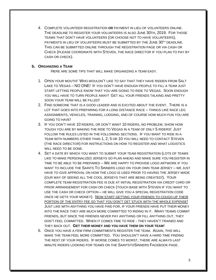4. COMPLETE VOLUNTEER REGISTRATION **OR** PAYMENT IN LIEU OF VOLUNTEERS ONLINE. THE DEADLINE TO REGISTER YOUR VOLUNTEERS IS ALSO JUNE 30TH, 2019. FOR THOSE TEAMS THAT DON'T HAVE VOLUNTEERS (OR CHOOSE NOT TO HAVE VOLUNTEERS), PAYMENTS IN LIEU OF VOLUNTEERS MUST BE SUBMITTED BY THE JUNE 30<sup>TH</sup> DEADLINE. THIS CAN BE SUBMITTED ONLINE THROUGH THE REGISTRATION PAGE OR VIA CASH OR CHECK (PLEASE COORDINATE WITH STEVEN, THE RACE DIRECTOR IF YOU PLAN TO PAY BY CASH OR CHECK).

## **b. ORGANIZING A TEAM**

HERE ARE SOME TIPS THAT WILL MAKE ORGANIZING A TEAM EASY.

- 1. OPEN YOUR MOUTH! WHO WOULDN'T LIKE TO SAY THAT THEY HAVE RIDDEN FROM SALT LAKE TO VEGAS – NO ONE! IF YOU DON'T HAVE ENOUGH PEOPLE TO FILL A TEAM JUST START LETTING PEOPLE KNOW THAT YOU ARE GOING TO RIDE TO VEGAS. SOON ENOUGH YOU WILL HAVE TO TURN PEOPLE AWAY! GET ALL YOUR FRIENDS TALKING AND PRETTY SOON YOUR TEAM WILL BE FILLED!
- 2. FIND SOMEONE THAT IS A GOOD LEADER AND IS EXCITED ABOUT THE EVENT. THERE IS A LOT THAT GOES INTO PREPARING FOR A LONG DISTANCE RACE – THINGS LIKE RACE LEG ASSIGNMENTS, VEHICLES, TRAINING, LODGING, AND OF COURSE HOW MUCH FUN YOU ARE GOING TO HAVE!
- 3. IF YOU DON'T HAVE 10 RIDERS, OR DON'T WANT 10 RIDERS, NO PROBLEM, SHOW HOW TOUGH YOU ARE BY MAKING THE RIDE TO VEGAS IN A TEAM OF ONLY 5 RIDERS! JUST FOLLOW THE RULES LISTED IN THE FOLLOWING SECTIONS. IF YOU WANT TO RIDE IN A TEAM WITH NUMBERS OTHER THAN 1, 2, 5 OR 10 YOU WILL NEED TO CONTACT STEVEN (THE RACE DIRECTOR) FOR INSTRUCTIONS ON HOW TO REGISTER AND WHAT LOGISTICS WILL NEED TO BE DONE.
- 4. SET A DATE BY WHICH YOU WANT TO SUBMIT YOUR TEAM REGISTRATION (LOTS OF TEAMS LIKE TO MAKE PERSONALIZED JERSEYS SO PLAN AHEAD AND MAKE SURE YOU REGISTER IN TIME TO BE ABLE TO BE PREPARED – WE ARE HAPPY TO PROVIDE LOGO ARTWORK IF YOU WANT TO INCLUDE THE SAINTS TO SINNERS LOGO ON YOUR OWN TEAM JERSEY – WE JUST HAVE TO GIVE APPROVAL ON HOW THE LOGO IS USED PRIOR TO HAVING THE JERSEY MADE (OUR WAY OF SEEING ALL THE COOL JERSEYS THAT ARE BEING CREATED!). YOUR COMPLETE TEAM REGISTRATION FEE IS DUE AT INITIAL REGISTRATION VIA CREDIT CARD OR PRIOR ARRANGEMENT FOR CASH OR CHECK (TOUCH BASE WITH STEVEN IF YOU WANT TO USE THE CASH OR CHECK OPTION – HE WILL GIVE YOU A SPECIAL REGISTRATION CODE ONCE HE GETS YOUR MONEY). NOW START GETTING YOUR FRIENDS TO COUGH UP THEIR PORTION OF THE ENTRY FEE SO THAT YOU DON'T GET STUCK WITH THE WHOLE EXPENSE! JUST LIKE WITH ANYTHING YOU HAVE PAID FOR, IF YOUR FRIENDS HAVE PUT THEIR MONEY INTO THE RACE THEY ARE MUCH MORE COMMITTED TO RIDING IN IT. MANY TEAMS COMMIT FRIENDS, BUT SINCE THE FRIENDS NEVER PAY ANYTHING OR FILL ANYTHING OUT, THEY DON'T FEEL COMMITTED. WHEN IT COMES TIME TO RIDE - THEY HAVEN'T TRAINED AND THEY BACK OUT. **GET THEIR MONEY AND YOU HAVE THEM ON YOUR TEAM**!
- 5. ONCE YOU HAVE A FEW FIRM COMMITMENTS REGISTER THE TEAM. AGAIN, THIS WILL MAKE THE TEAM FEEL MORE COMMITTED. YOU SHOULDN'T HAVE A HARD TIME FINDING THE REST OF YOUR RIDERS. IF WORSE COMES TO WORST, THERE ARE ALWAYS LAST MINUTE RIDERS LOOKING FOR TEAMS ON THE SAINTSTOSINNERS FACEBOOK PAGE.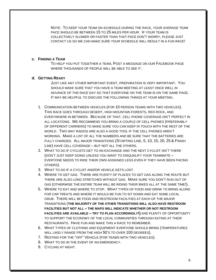NOTE: TO KEEP YOUR TEAM ON SCHEDULE DURING THE RACE, YOUR AVERAGE TEAM PACE SHOULD BE BETWEEN 15 TO 25 MILES PER HOUR. IF YOUR TEAM IS COLLECTIVELY SLOWER OR FASTER THAN THAT PACE DON'T WORRY, PLEASE JUST CONTACT US SO WE CAN MAKE SURE YOUR SCHEDULE WILL RESULT IN A FUN RACE!

## **c. FINDING A TEAM**

TO HELP YOU PUT TOGETHER A TEAM, POST A MESSAGE ON OUR FACEBOOK PAGE WHERE THOUSANDS OF PEOPLE WILL BE ABLE TO SEE IT.

## **d. GETTING READY**

JUST LIKE ANY OTHER IMPORTANT EVENT, PREPARATION IS VERY IMPORTANT. YOU SHOULD MAKE SURE THAT YOU HAVE A TEAM MEETING AT LEAST ONCE WELL IN ADVANCE OF THE RACE DAY SO THAT EVERYONE ON THE TEAM IS ON THE SAME PAGE. IT MAY BE HELPFUL TO DISCUSS THE FOLLOWING THINGS AT YOUR MEETING.

- 1. COMMUNICATION BETWEEN VEHICLES (FOR 10 PERSON TEAMS WITH TWO VEHICLES). THIS RACE GOES THROUGH DESERT, HIGH MOUNTAIN FORESTS, RED ROCK, AND EVERYWHERE IN BETWEEN. BECAUSE OF THAT, CELL PHONE COVERAGE ISN'T PERFECT IN ALL LOCATIONS. WE RECOMMEND YOU BRING A COUPLE OF CELL PHONES (PREFERABLY OF DIFFERENT CARRIERS) TO MAKE SURE YOU CAN KEEP IN TOUCH WITH THE REST OF THE WORLD. TWO WAY RADIOS ARE ALSO A GOOD TOOL IF THE CELL PHONES AREN'T WORKING. MAKE A LIST OF ALL THE NUMBERS AND BE SURE THAT THE BATTERIES ARE FULLY CHARGED. ALL MAJOR TRANSITIONS (STARTING LINE, 5, 10, 15, 20, 25 & FINISH LINE) HAVE CELL COVERAGE – BUT NOT ALL THE OTHERS.
- 2. WHAT TO DO IF CYCLISTS GET TO AN EXCHANGE AND THE NEXT CYCLIST ISN'T THERE (DON'T JUST KEEP GOING UNLESS YOU WANT TO DISQUALIFY YOUR TEAMMATE – EVERYONE NEEDS TO RIDE THEIR OWN ASSIGNED LEGS EVEN IF THEY HAVE BEEN PACING OTHERS).
- 3. WHAT TO DO IF A CYCLIST AND/OR VEHICLE GETS LOST.
- 4. WHERE TO GET GAS. THERE ARE PLENTY OF PLACES TO GET GAS ALONG THE ROUTE BUT THERE ARE ALSO LONG STRETCHES WITHOUT GAS. MAKE SURE YOU DON'T RUN OUT OF GAS (OTHERWISE THE ENTIRE TEAM WILL BE RIDING THEIR BIKES ALL AT THE SAME TIME!).
- 5. WHERE TO EAT AND WHERE TO STOP. WHAT TYPES OF FOOD AND DRINK TO BRING ALONG FOR CAR TREATS AND WHERE IT WOULD BE FUN TO SIT DOWN AND EAT SOME LOCAL GRUB. THERE WILL BE FOOD AND RESTROOM FACILITIES AT EACH OF THE MAJOR TRANSITIONS (**THE MAJORITY OF THE OTHER TRANSITIONS WILL ALSO HAVE RESTROOM FACILITIES BUT NOT ALL – THE MAPS WILL INDICATE WHETHER OR NOT RESTROOM FACILITIES ARE AVAILABLE – TRY TO PLAN ACCORDINGLY!)** AND PLENTY OF OPPORTUNITY TO SUPPORT THE ECONOMY OF THE LOCAL COMMUNITIES THROUGH EATING AT THEIR RESTAURANTS. HAVE FUN AND MAKE THIS A RACE TO REMEMBER.
- 6. WHAT TYPES OF CLOTHING AND EQUIPMENT EVERYONE SHOULD BRING (TEMPERATURES WILL LIKELY RANGE FROM THE HIGH 50'S TO OVER 100 DEGREES).
- 7. RESTING FOR THE "OFF" VEHICLE (FOR TEAMS WITH TWO VEHICLES).
- 8. WHAT TO DO IN THE EVENT OF AN EMERGENCY.
- 9. CYCLING AT NIGHT.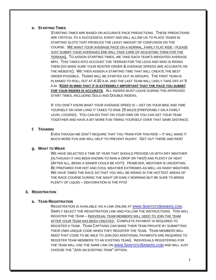## **e. STARTING TIMES**

STARTING TIMES ARE BASED ON ACCURATE PACE PREDICTIONS. THESE PREDICTIONS ARE CRITICAL TO A SUCCESSFUL EVENT AND WILL ALLOW US TO PLACE TEAMS IN STARTING SLOTS THAT PRODUCE THE LEAST AMOUNT OF CONFUSION ON THE COURSE. WE WANT YOUR AVERAGE PACE ON A NORMAL, FAIRLY FLAT RIDE - PLEASE JUST SUBMIT YOUR AVERAGES (WE WILL TAKE CARE OF ADJUSTING THEM FOR THE TERRAIN). TO ASSIGN STARTING TIMES, WE TAKE EACH TEAM'S WEIGHTED AVERAGE MPH. THIS TAKES INTO ACCOUNT THE TERRAIN FOR THE LEGS AND WHO IS RIDING THEM (SO MAKE SURE YOUR ROSTER ORDER & AVERAGE SPEEDS ARE ACCURATE ON THE WEBSITE). WE THEN ASSIGN A STARTING TIME THAT WILL CREATE THE BEST ORDER POSSIBLE. TEAMS WILL BE STARTED OUT IN GROUPS. THE FIRST TEAM IS PLANNED TO ROLL OUT AT 4:30 A.M. AND THE LAST TEAM WILL LIKELY TAKE OFF AT 9 A.M. **KEEP IN MIND THAT IT IS EXTREMELY IMPORTANT THAT THE PACE YOU SUBMIT FOR YOUR RIDERS IS ACCURATE**. ALL RIDERS MUST LEAVE DURING THE APPROVED START TIMES, INCLUDING SOLO AND DOUBLE RIDERS.

IF YOU DON'T KNOW WHAT YOUR AVERAGE SPEED IS – GET ON YOUR BIKE AND TIME YOURSELF ON HOW LONG IT TAKES TO RIDE 25 MILES (PREFERABLY ON A FAIRLY LEVEL COURSE). YOU CAN DO THAT ON YOUR OWN OR YOU CAN GET YOUR TEAM TOGETHER AND HAVE A BIT MORE FUN TIMING YOURSELF OVER THAT SAME DISTANCE.

## **f. TRAINING**

EVEN THOUGH WE DON'T REQUIRE THAT YOU TRAIN FOR THIS RIDE – IT WILL MAKE IT MUCH MORE FUN AND WILL HELP TO PREVENT INJURY. GET OUT THERE AND RIDE!

## **g. WHAT TO WEAR**

WE HAVE SELECTED A TIME OF YEAR THAT SHOULD PROVIDE US WITH DRY WEATHER (ALTHOUGH IT HAS BEEN KNOWN TO RAIN A DROP OR TWO!) AND PLENTY OF HEAT (AFTER ALL, BEING A SINNER COULD BE HOT!). HOWEVER, WEATHER IS UNCERTAIN. BE PREPARED FOR HOT AND COOL WEATHER EXTREMES AS WELL AS RAINY WEATHER. WE HAVE TIMED THE RACE SO THAT YOU WILL BE RIDING IN THE HOTTEST AREAS OF THE RACE COURSE DURING THE NIGHT OR EARLY MORNING BUT BE SURE TO BRING PLENTY OF LIQUID - DEHYDRATION IS THE PITS!

## **3. REGISTRATION**

#### **a. TEAM REGISTRATION**

REGISTRATION IS AVAILABLE VIA A LINK ONLINE AT WWW.S[AINTSTO](http://www.saintstosinners.com/)SINNERS.COM. SIMPLY SELECT THE REGISTRATION LINK AND FOLLOW THE INSTRUCTIONS. THIS WILL REGISTER THE TEAM – INDIVIDUAL TEAM MEMBERS WILL NEED TO JOIN THE TEAM AFTER YOUR TEAM HAS BEEN CREATED. COMPLETE PAYMENT IS REQUIRED TO REGISTER A TEAM. TEAM CAPTAINS CAN MAKE THEIR TEAM PRIVATE BY SUBMITTING THEIR OWN UNIQUE CODE WHEN THEY REGISTER THE TEAM. TEAM MEMBERS WILL NEED THAT CODE TO BE ABLE TO JOIN (NO ADDITIONAL PAYMENTS ARE REQUIRED TO REGISTER TEAM MEMBERS TO AN EXISTING TEAM). INDIVIDUALS REGISTERING FOR THE TEAM WILL USE THE SAME LINK ON WWW.S[AINTSTO](http://www.saintstosinners.com/)SINNERS.COM AND WILL JUST CHOOSE THE "JOIN AN EXISTING TEAM" OPTION.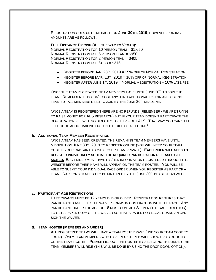REGISTRATION GOES UNTIL MIDNIGHT ON **JUNE 30TH, 2019**, HOWEVER, PRICING AMOUNTS ARE AS FOLLOWS:

**FULL DISTANCE PRICING (ALL THE WAY TO VEGAS):**

NORMAL REGISTRATION FOR 10 PERSON TEAM = \$1,650 NORMAL REGISTRATION FOR 5 PERSON TEAM = \$950 NORMAL REGISTRATION FOR 2 PERSON TEAM = \$405 NORMAL REGISTRATION FOR SOLO = \$215

- $\bullet$  Register before Jan. 28<sup>th</sup>, 2019 = 15% off of Normal Registration
- $\bullet$  Register before Mar. 13<sup>th</sup>, 2019 = 10% off of Normal Registration
- $\bullet$  Register After June 1st, 2019 = Normal Registration + 10% late fee

ONCE THE TEAM IS CREATED. TEAM MEMBERS HAVE UNTIL JUNE 30TH TO JOIN THE TEAM. REMEMBER, IT DOESN'T COST ANYTHING ADDITIONAL TO JOIN AN EXISTING TEAM BUT ALL MEMBERS NEED TO JOIN BY THE JUNE 30TH DEADLINE.

ONCE A TEAM IS REGISTERED THERE ARE NO REFUNDS (REMEMBER - WE ARE TRYING TO RAISE MONEY FOR ALS RESEARCH) BUT IF YOUR TEAM DOESN'T PARTICIPATE THE REGISTRATION FEE WILL GO DIRECTLY TO HELP FIGHT ALS. THAT WAY YOU CAN STILL FEEL GOOD ABOUT BAILING OUT ON THE RIDE OF A LIFETIME!

#### **b. ADDITIONAL TEAM MEMBER REGISTRATION**

ONCE A TEAM HAS BEEN CREATED, THE REMAINING TEAM MEMBERS HAVE UNTIL MIDNIGHT ON JUNE 30™, 2019 TO REGISTER ONLINE (YOU WILL NEED YOUR TEAM CODE IF YOUR CAPTAIN HAS MADE YOUR TEAM PRIVATE). **EACH RIDER WILL NEED TO REGISTER INDIVIDUALLY SO THAT THE REQUIRED PARTICIPATION RELEASES GET SIGNED.** EACH RIDER MUST HAVE HIS/HER INFORMATION REGISTERED THROUGH THE WEBSITE BEFORE THEIR NAME WILL APPEAR ON THE TEAM ROSTER. YOU WILL BE ABLE TO SUBMIT YOUR INDIVIDUAL RACE ORDER WHEN YOU REGISTER AS PART OF A TEAM. RACE ORDER NEEDS TO BE FINALIZED BY THE JUNE 30TH DEADLINE AS WELL.

#### **c. PARTICIPANT AGE RESTRICTIONS**

PARTICIPANTS MUST BE 12 YEARS OLD OR OLDER. REGISTRATION REQUIRES THAT PARTICIPANTS AGREE TO THE WAIVER FORMS IN CONJUNCTION WITH THE RACE. ANY PARTICIPANT UNDER THE AGE OF 18 MUST CONTACT STEVEN (THE RACE DIRECTOR) TO GET A PAPER COPY OF THE WAIVER SO THAT A PARENT OR LEGAL GUARDIAN CAN SIGN THE WAIVER.

## **d. TEAM ROSTER (MEMBERS AND ORDER)**

ALL REGISTERED TEAMS WILL HAVE A TEAM ROSTER PAGE (USE YOUR TEAM CODE TO LOGIN). ONLY TEAM MEMBERS WHO HAVE REGISTERED WILL SHOW UP AS OPTIONS ON THE TEAM ROSTER. PLEASE FILL OUT THE ROSTER BY SELECTING THE ORDER THE TEAM MEMBERS WILL RIDE (THIS WILL BE DONE BY USING THE DROP DOWN OPTION).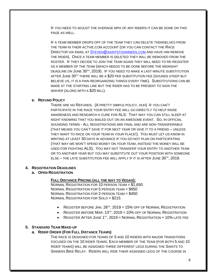IF YOU NEED TO ADJUST THE AVERAGE MPH OF ANY RIDERS IT CAN BE DONE ON THIS PAGE AS WELL.

IF A TEAM MEMBER DROPS OFF OF THE TEAM THEY CAN DELETE THEMSELVES FROM THE TEAM IN THEIR ACTIVE.COM ACCOUNT (OR YOU CAN CONTACT THE RACE DIRECTOR VIA EMAIL AT STEVEN@[SAINTSTOSINNERS](mailto:Steven@saintstosinners.com).COM AND HAVE HIM REMOVE THE RIDER). ONCE A TEAM MEMBER IS DELETED THEY WILL BE REMOVED FROM THE ROSTER. IF THEY DECIDE TO JOIN THE TEAM AGAIN THEY WILL NEED TO RE-REGISTER AS A MEMBER OF THE TEAM (WHICH NEEDS TO BE DONE BEFORE THE MIDNIGHT DEADLINE ON JUNE 30TH, 2019). IF YOU NEED TO MAKE A LAST MINUTE SUBSTITUTION AFTER JUNE 30<sup>TH</sup> THERE WILL BE A \$20 PER SUBSTITUTION FEE (SOUNDS STEEP BUT BELIEVE US, IT IS A PAIN REORGANIZING THINGS EVERY TIME). SUBSTITUTIONS CAN BE MADE AT THE STARTING LINE BUT THE RIDER HAS TO BE PRESENT TO SIGN THE WAIVER (ALONG WITH A \$20 BILL).

## **e. REFUND POLICY**

THERE ARE NO REFUNDS. (A PRETTY SIMPLE POLICY, HUH) IF YOU CAN'T PARTICIPATE IN THE RACE YOUR ENTRY FEE WILL GO DIRECTLY TO HELP RAISE AWARENESS AND RESEARCH A CURE FOR ALS. THAT WAY YOU CAN STILL SLEEP AT NIGHT KNOWING THAT YOU BAILED OUT ON AN AWESOME EVENT. SO, IN OFFICIAL SOUNDING TERMS - ALL REGISTRATIONS ARE FINAL AND ARE NON-TRANSFERABLE (THAT MEANS YOU CAN'T SAVE IT FOR NEXT YEAR OR GIVE IT TO A FRIEND – UNLESS THEY WANT TO RACE ON YOUR TEAM IN YOUR PLACE!). YOU MUST LET US KNOW IN WRITING AT LEAST 30 DAYS IN ADVANCE IF YOU DO NOT PLAN ON PARTICIPATING (THAT WAY WE WON'T SPEND MONEY ON YOUR TEAM, INSTEAD THE MONEY WILL BE USED FOR FIGHTING ALS). YOU MAY NOT TRANSFER YOUR ENTRY TO ANOTHER TEAM OR TO ANOTHER YEAR BUT YOU MAY SUBSTITUTE OUT YOUR POSITION WITH SOMEONE ELSE – THE LATE SUBSTITUTION FEE WILL APPLY IF IT IS AFTER  $J$ UNE  $30^{\text{th}}$ ,  $2019$ .

## **4. REGISTRATION DEADLINES**

## **a. OPEN REGISTRATION**

#### **FULL DISTANCE PRICING (ALL THE WAY TO VEGAS):**

NORMAL REGISTRATION FOR 10 PERSON TEAM = \$1,650 NORMAL REGISTRATION FOR 5 PERSON TEAM = \$950 NORMAL REGISTRATION FOR 2 PERSON TEAM = \$450 NORMAL REGISTRATION FOR SOLO = \$215

- $\bullet$  Register before Jan. 28<sup>th</sup>, 2019 = 15% off of Normal Registration
- $\bullet$  Register before Mar. 13<sup>th</sup>, 2019 = 10% off of Normal Registration
- REGISTER AFTER JUNE  $1<sup>ST</sup>$ , 2019 = NORMAL REGISTRATION + 10% LATE FEE

## **5. STANDARD TEAM MAKE-UP**

## **a. RIDER ORDER (FOR FULL DISTANCE TEAMS)**

THE RACE IS DESIGNED FOR TEAMS OF 5 AND 10 RIDERS WITH MAJOR TRANSITIONS FOCUSED ON THE 10 RIDER TEAMS. EACH MEMBER OF THE TEAM (FOR BOTH 5 AND 10 RIDER TEAMS) WILL BE ASSIGNED THREE DIFFERENT LEGS DURING THE SAINTS TO SINNERS BIKE RELAY. RIDERS WILL RIDE THEIR ASSIGNED LEGS OF THE COURSE IN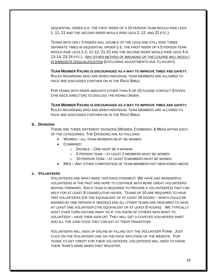SEQUENTIAL ORDER (I.E. THE FIRST RIDER OF A 10 PERSON TEAM WOULD RIDE LEGS 1, 11, 21 AND THE SECOND RIDER WOULD RIDE LEGS 2, 12, AND 22 ETC.).

TEAMS WITH ONLY 5 RIDERS WILL DOUBLE UP THE LEGS AND STILL RIDE THREE SEPARATE TIMES IN SEQUENTIAL ORDER (I.E. THE FIRST RIDER OF A 5 PERSON TEAM WOULD RIDE LEGS 1-2, 11-12, 21-22 AND THE SECOND RIDER WOULD RIDE LEGS 3-4, 13-14, 23-24 ETC.). ANY OTHER METHOD OF BREAKING UP THE COURSE WILL RESULT IN IMMEDIATE DISQUALIFICATION (EXCLUDING ADJUSTMENTS DUE TO INJURY).

**TEAM MEMBER PACING IS ENCOURAGED AS A WAY TO IMPROVE TIMES AND SAFETY.** RULES REGARDING WHO AND WHEN INDIVIDUAL TEAM MEMBERS ARE ALLOWED TO PACE ARE DISCUSSED FURTHER ON IN THE RACE BIBLE.

FOR TEAMS WITH RIDER AMOUNTS OTHER THAN 5 OR 10 PLEASE CONTACT STEVEN (THE RACE DIRECTOR) TO DISCUSS THE RIDING ORDER.

**TEAM MEMBER PACING IS ENCOURAGED AS A WAY TO IMPROVE TIMES AND SAFETY.** RULES REGARDING WHO AND WHEN INDIVIDUAL TEAM MEMBERS ARE ALLOWED TO PACE ARE DISCUSSED FURTHER ON IN THE RACE BIBLE.

## **b. DIVISIONS**

THERE ARE THREE DIFFERENT DIVISIONS (WOMEN, COMBINED, & MEN) WITHIN EACH OF THE CATEGORIES. THE DIVISIONS ARE AS FOLLOWS:

- WOMEN ALL TEAM MEMBERS MUST BE WOMEN
- COMBINED:
	- o DOUBLE ONE MUST BE A WOMAN
	- o 5 PERSON TEAM AT LEAST 2 MEMBERS MUST BE WOMEN
	- $\circ$  10 PERSON TEAM AT LEAST 5 MEMBERS MUST BE WOMEN
- MEN ANY OTHER COMPOSITION OF TEAM MEMBERS NOT MENTIONED ABOVE

## **c. VOLUNTEERS**

VOLUNTEERS ARE WHAT MAKE THIS RACE POSSIBLE! WE HAVE HAD WONDERFUL VOLUNTEERS IN THE PAST AND HOPE TO CONTINUE WITH MORE GREAT VOLUNTEERS MOVING FORWARD. EACH TEAM IS REQUIRED TO PROVIDE A VOLUNTEER(S) THAT CAN HELP FOR AT LEAST 8 CONSECUTIVE HOURS. TEAMS OF 10 ARE REQUIRED TO HAVE TWO VOLUNTEERS (OR THE EQUIVALENT OF AT LEAST 16 HOURS – WHICH COULD BE MANNED BY ONE PERSON IF NEEDED) AND ALL OTHER TEAMS ARE REQUIRED TO HAVE AT LEAST ONE VOLUNTEER (THE EQUIVALENT OF AT LEAST 8 HOURS). WE TYPICALLY DON'T EVER TURN ANYONE AWAY SO IF YOU KNOW OF OTHERS WHO WANT TO VOLUNTEER – HAVE THEM SIGN UP! THEY WILL GET A COVETED VOLUNTEER SHIRT AND ALL THE JUNK FOOD THEY CAN EAT AT THEIR TRANSITION!

VOLUNTEERS WILL SIGN UP ONLINE BY FILLING OUT THE VOLUNTEER FORM. JUST CLICK ON THE VOLUNTEER LINK ON THE RACE INFO PAGE OF THE WEBSITE. FOR TEAMS TO GET CREDIT FOR THEIR VOLUNTEERS, VOLUNTEERS WILL NEED TO KNOW THEIR TEAM'S NAME WHEN THEY REGISTER.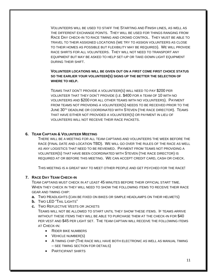VOLUNTEERS WILL BE USED TO STAFF THE STARTING AND FINISH LINES, AS WELL AS THE DIFFERENT EXCHANGE POINTS. THEY WILL BE USED FOR THINGS RANGING FROM RACE DAY CHECK-IN TO RACE TIMING AND CROWD CONTROL. THEY MUST BE ABLE TO TRAVEL TO THEIR ASSIGNED LOCATIONS (WE TRY TO ASSIGN VOLUNTEERS AS CLOSE TO THEIR HOMES AS POSSIBLE BUT FLEXIBILITY MAY BE REQUIRED). WE WILL PROVIDE RACE SHIRTS FOR ALL VOLUNTEERS. THEY WILL NOT NEED TO TRANSPORT ANY EQUIPMENT BUT MAY BE ASKED TO HELP SET-UP OR TAKE-DOWN LIGHT EQUIPMENT DURING THEIR SHIFT.

# **VOLUNTEER LOCATIONS WILL BE GIVEN OUT ON A FIRST COME FIRST CHOICE STATUS SO THE EARLIER YOUR VOLUNTEER(S) SIGNS UP THE BETTER THE SELECTION OF WHERE TO HELP.**

TEAMS THAT DON'T PROVIDE A VOLUNTEER(S) WILL NEED TO PAY \$200 PER VOLUNTEER THAT THEY DON'T PROVIDE (I.E. \$400 FOR A TEAM OF 10 WITH NO VOLUNTEERS AND \$200 FOR ALL OTHER TEAMS WITH NO VOLUNTEERS). PAYMENT FROM TEAMS NOT PROVIDING A VOLUNTEER(S) NEEDS TO BE RECEIVED PRIOR TO THE JUNE 30<sup>TH</sup> DEADLINE OR COORDINATED WITH STEVEN (THE RACE DIRECTOR). TEAMS THAT HAVE EITHER NOT PROVIDED A VOLUNTEER(S) OR PAYMENT IN LIEU OF VOLUNTEERS WILL NOT RECEIVE THEIR RACE PACKETS.

# **6. TEAM CAPTAIN & VOLUNTEER MEETING**

THERE WILL BE A MEETING FOR ALL TEAM CAPTAINS AND VOLUNTEERS THE WEEK BEFORE THE RACE (FINAL DATE AND LOCATION TBD). WE WILL GO OVER THE RULES OF THE RACE AS WELL AS ANY LOGISTICS THAT NEED TO BE REVIEWED. PAYMENT FROM TEAMS NOT PROVIDING A VOLUNTEER(S) THAT HAVE BEEN COORDINATED WITH STEVEN (THE RACE DIRECTOR) IS REQUIRED AT OR BEFORE THIS MEETING. WE CAN ACCEPT CREDIT CARD, CASH OR CHECK.

THIS MEETING IS A GREAT WAY TO MEET OTHER PEOPLE AND GET PSYCHED FOR THE RACE!

# **7. RACE DAY TEAM CHECK-IN**

TEAM CAPTAINS MUST CHECK IN AT LEAST 45 MINUTES BEFORE THEIR OFFICIAL START TIME. WHEN THEY CHECK IN THEY WILL NEED TO SHOW THE FOLLOWING ITEMS TO RECEIVE THEIR RACE GEAR AND TIMING CHIP:

- **a.** TWO HEADLIGHTS (CAN BE FIXED ON BIKES OR SIMPLE HEADLAMPS ON THEIR HELMETS)
- **b.** TWO LED "TAIL LIGHTS"
- **c.** TWO REFLECTIVE VESTS OR JACKETS

TEAMS WILL NOT BE ALLOWED TO START UNTIL THEY SHOW THESE ITEMS. IF TEAMS ARRIVE WITHOUT THESE ITEMS THEY WILL BE ABLE TO PURCHASE THEM AT THE CHECK-IN FOR \$40 PER VEST AND \$45 PER LIGHT SET. THE TEAM CAPTAIN WILL RECEIVE THE FOLLOWING ITEMS AT CHECK-IN:

- RIDER BIKE NUMBERS
- VEHICLE NUMBER(S)
- A TIMING CHIP (THE RACE WILL HAVE BOTH ELECTRONIC AS WELL AS MANUAL TIMING – SEE TIMING SECTION FOR DETAILS)
- PARTICIPANT SHIRTS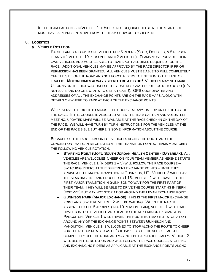IF THE TEAM CAPTAIN IS IN VEHICLE 2 HE/SHE IS NOT REQUIRED TO BE AT THE START BUT MUST HAVE A REPRESENTATIVE FROM THE TEAM SHOW UP TO CHECK IN.

#### **8. LOGISTICS**

# **a. VEHICLE ROTATION**

EACH TEAM IS ALLOWED ONE VEHICLE PER 5 RIDERS (SOLO, DOUBLES, & 5 PERSON TEAMS = 1 VEHICLE, 10 PERSON TEAM = 2 VEHICLES). TEAMS MUST PROVIDE THEIR OWN VEHICLES AND MUST BE ABLE TO TRANSPORT ALL BIKES REQUIRED FOR THE RACE. ADDITIONAL VEHICLES MAY BE APPROVED BY THE RACE DIRECTOR IF PRIOR PERMISSION HAS BEEN GRANTED. ALL VEHICLES MUST BE ABLE TO PULL COMPLETELY OFF THE SIDE OF THE ROAD AND NOT FORCE RIDERS TO ENTER INTO THE LANE OF TRAFFIC. **MOTORHOMES ALWAYS SEEM TO BE A BIG HIT!** VEHICLES MAY NOT MAKE U-TURNS ON THE HIGHWAY UNLESS THEY USE DESIGNATED PULL-OUTS TO DO SO (IT'S NOT SAFE AND NO ONE WANTS TO GET A TICKET!). GPS COORDINATES AND ADDRESSES OF ALL THE EXCHANGE POINTS ARE ON THE RACE MAPS ALONG WITH DETAILS ON WHERE TO PARK AT EACH OF THE EXCHANGE POINTS.

WE RESERVE THE RIGHT TO ADJUST THE COURSE AT ANY TIME UP UNTIL THE DAY OF THE RACE. IF THE COURSE IS ADJUSTED AFTER THE TEAM CAPTAIN AND VOLUNTEER MEETING, UPDATED MAPS WILL BE AVAILABLE AT THE RACE CHECK-IN ON THE DAY OF THE RACE. WE WILL HAVE TURN BY TURN INSTRUCTIONS FOR THE VEHICLES AT THE END OF THE RACE BIBLE BUT HERE IS SOME INFORMATION ABOUT THE COURSE.

BECAUSE OF THE LARGE AMOUNT OF VEHICLES ALONG THE ROUTE AND THE CONGESTION THAT CAN BE CREATED AT THE TRANSITION POINTS, TEAMS MUST OBEY THE FOLLOWING VEHICLE ROTATION:

- **STARTING POINT (UOFU SOUTH JORDAN HEALTH CENTER - DAYBREAK)**: ALL VEHICLES ARE WELCOME! CHEER ON YOUR TEAM MEMBER AS HE/SHE STARTS THE RACE! VEHICLE 1 (RIDERS  $1-5$ ) WILL FOLLOW THE RACE COURSE  $-$ SWITCHING RIDERS AT THE DIFFERENT EXCHANGE POINTS – UNTIL THEY ARRIVE AT THE MAJOR TRANSITION IN GUNNISON, UT. VEHICLE 2 WILL LEAVE THE STARTING LINE AND PROCEED TO I-15. VEHICLE 2 WILL TRAVEL TO THE FIRST MAJOR TRANSITION IN GUNNISON TO WAIT FOR THE FIRST PART OF THEIR TEAM. THEY WILL BE ABLE TO DRIVE THE COURSE STARTING IN NEPHI (EXIT 222) BUT MAY NOT STOP AT OR AROUND THE LEVAN EXCHANGE POINT.
- **GUNNISON PARK (MAJOR EXCHANGE):** THIS IS THE FIRST MAJOR EXCHANGE POINT AND IS WHERE VEHICLE 2 WILL BE WAITING. WHEN THE RACER ASSIGNED TO LEG 5 ARRIVES (IN A 10 PERSON TEAM), VEHICLE 1 WILL LOAD HIM/HER INTO THE VEHICLE AND HEAD TO THE NEXT MAJOR EXCHANGE IN PANGUITCH. VEHICLE 1 WILL TRAVEL THE ROUTE BUT MAY NOT STOP AT OR AROUND ANY OF THE EXCHANGE POINTS BETWEEN GUNNISON AND PANGUITCH. VEHICLE 1 IS WELCOMED TO STOP ALONG THE ROUTE TO CHEER FOR THEIR TEAM MEMBER AS HE/SHE PASSES BUT THE VEHICLE MUST BE COMPLETELY OFF THE ROAD AND MAY NOT BE PARKED ILLEGALLY. VEHICLE 2 WILL BEGIN THE ROTATION AND WILL FOLLOW THE RACE COURSE, STOPPING AND EXCHANGING RIDERS AS APPLICABLE AT THE EXCHANGE POINTS ALONG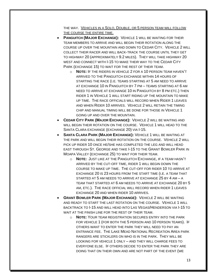THE WAY. VEHICLES IN A SOLO, DOUBLE, OR 5 PERSON TEAM WILL FOLLOW THE COURSE THE ENTIRE TIME.

- **PANGUITCH (MAJOR EXCHANGE):** VEHICLE 1 WILL BE WAITING FOR THEIR TEAM MEMBERS TO ARRIVE AND WILL BEGIN THEIR ROTATION ALONG THE COURSE UP OVER THE MOUNTAIN AND DOWN TO CEDAR CITY. VEHICLE 2 WILL COLLECT THEIR RACER AND WILL BACK-TRACK THE COURSE UNTIL THEY GET TO HIGHWAY 20 (APPROXIMATELY 9.2 MILES). THEY WILL TAKE HIGHWAY 20 WEST AND CONNECT WITH I-15 TO MAKE THEIR WAY TO THE CEDAR CITY PARK (EXCHANGE 15) TO WAIT FOR THE REST OF THEIR TEAM.
	- o **NOTE:** IF THE RIDERS IN VEHICLE 2 FOR A 10 PERSON TEAM HAVEN'T ARRIVED TO THE PANGUITCH EXCHANGE WITHIN 14 HOURS OF STARTING THE RACE (I.E. TEAMS STARTING AT 5 AM NEED TO ARRIVE AT EXCHANGE 10 IN PANGUITCH BY 7 PM – TEAMS STARTING AT 6 AM NEED TO ARRIVE AT EXCHANGE 10 IN PANGUITCH BY 8 PM ETC.) THEN RIDER 1 IN VEHICLE 1 WILL START RIDING UP THE MOUNTAIN TO MAKE UP TIME. THE RACE OFFICIALS WILL RECORD WHEN RIDER 1 LEAVES AND WHEN RIDER 10 ARRIVES. VEHICLE 2 WILL RETAIN THE TIMING CHIP AND MANUAL TIMING WILL BE DONE FOR THOSE IN VEHICLE 1 GOING UP AND OVER THE MOUNTAIN.
- **CEDAR CITY PARK (MAJOR EXCHANGE):** VEHICLE 2 WILL BE WAITING AND WILL BEGIN THEIR ROTATION ON THE COURSE. VEHICLE 1 WILL HEAD TO THE SANTA CLARA EXCHANGE (EXCHANGE 20) VIA I-15.
- **SANTA CLARA PARK (MAJOR EXCHANGE):** VEHICLE 1 WILL BE WAITING AT THE PARK AND WILL BEGIN THEIR ROTATION ON THE COURSE. VEHICLE 2 WILL PICK UP RIDER 10 ONCE HE/SHE HAS COMPLETED THE LEG AND WILL HEAD EAST THROUGH ST. GEORGE AND TAKE I-15 TO THE GRANT BOWLER PARK IN MOAPA VALLEY (EXCHANGE 25) TO WAIT FOR THEIR TEAM.
	- o **NOTE:** JUST LIKE AT THE PANGUITCH EXCHANGE, IF A TEAM HASN'T ARRIVED BY THE CUT-OFF TIME, RIDER 1 WILL BEGIN DOWN THE COURSE TO MAKE UP TIME. THE CUT-OFF FOR RIDER 10 TO ARRIVE AT EXCHANGE 20 IS 23 HOURS FROM THE START TIME (I.E. A TEAM THAT STARTED AT 5 AM NEEDS TO ARRIVE AT EXCHANGE 25 BY 4 AM – A TEAM THAT STARTED AT 6 AM NEEDS TO ARRIVE AT EXCHANGE 20 BY 5 AM, ETC.). THE RACE OFFICIAL WILL RECORD WHEN RIDER 1 LEAVES EXCHANGE 20 AND WHEN RIDER 10 ARRIVES.
- **GRANT BOWLER PARK (MAJOR EXCHANGE):** VEHICLE 2 WILL BE WAITING AND READY TO START THE LAST ROTATION ON THE COURSE. VEHICLE 1 WILL BACKTRACK TO I-15 AND WILL HEAD INTO LAS VEGAS/HENDERSON VIA I-15 TO WAIT AT THE FINISH LINE FOR THE REST OF THEIR TEAM.
	- o **NOTE:** YOUR TEAM REGISTRATION SECURES ENTRY INTO THE PARK FOR VEHICLE 1 (FOR BOTH THE 5 PERSON AND 10 PERSON TEAMS). IF OTHERS WANT TO ENTER THE PARK THEY WILL NEED TO PAY AN ENTRANCE FEE. THE LAKE MEAD NATIONAL RECREATION AREA PARK RANGERS ARE STICKLERS ON WHO IS IN THE PARK. THEY WILL BE LOOKING FOR VEHICLE 1 ONLY – AND THEY WILL CHARGE FEES TO EVERYONE ELSE. IF OTHERS DECIDE TO ENTER THE PARK THEY ARE DOING THAT ON THEIR OWN AND ARE NOT PART OF THE EVENT (WE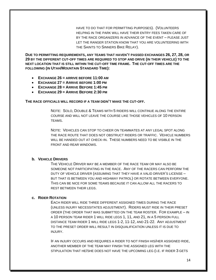HAVE TO DO THAT FOR PERMITTING PURPOSES). (VOLUNTEERS HELPING IN THE PARK WILL HAVE THEIR ENTRY FEES TAKEN CARE OF BY THE RACE ORGANIZERS IN ADVANCE OF THE EVENT – PLEASE JUST LET THE RANGER STATION KNOW THAT YOU ARE VOLUNTEERING WITH THE SAINTS TO SINNERS BIKE RELAY).

**DUE TO PERMITTING REQUIREMENTS, ANY TEAMS THAT HAVEN'T PASSED EXCHANGES 26, 27, 28, OR 29 BY THE DIFFERENT CUT-OFF TIMES ARE REQUIRED TO STOP AND DRIVE (IN THEIR VEHICLE) TO THE NEXT LOCATION THAT IS STILL WITHIN THE CUT-OFF TIME FRAME. THE CUT-OFF TIMES ARE THE FOLLOWING (IN UTAH/MOUNTAIN STANDARD TIME):**

- **EXCHANGE 26 = ARRIVE BEFORE 11:00 AM**
- **EXCHANGE 27 = ARRIVE BEFORE 1:00 PM**
- **EXCHANGE 28 = ARRIVE BEFORE 1:45 PM**
- **EXCHANGE 29 = ARRIVE BEFORE 2:30 PM**

#### **THE RACE OFFICIALS WILL RECORD IF A TEAM DIDN'T MAKE THE CUT-OFF.**

NOTE: SOLO, DOUBLE & TEAMS WITH 5 RIDERS WILL CONTINUE ALONG THE ENTIRE COURSE AND WILL NOT LEAVE THE COURSE LIKE THOSE VEHICLES OF 10 PERSON TEAMS.

NOTE: VEHICLES CAN STOP TO CHEER ON TEAMMATES AT ANY LEGAL SPOT ALONG THE RACE ROUTE THAT DOES NOT OBSTRUCT RIDERS OR TRAFFIC. VEHICLE NUMBERS WILL BE HANDED OUT AT CHECK-IN. THESE NUMBERS NEED TO BE VISIBLE IN THE FRONT AND REAR WINDOWS.

## **b. VEHICLE DRIVERS**

THE VEHICLE DRIVER MAY BE A MEMBER OF THE RACE TEAM OR MAY ALSO BE SOMEONE NOT PARTICIPATING IN THE RACE. ANY OF THE RACERS CAN PERFORM THE DUTY OF VEHICLE DRIVER (ASSUMING THAT THEY HAVE A VALID DRIVER'S LICENSE – BUT THAT IS BETWEEN YOU AND HIGHWAY PATROL) OR ROTATE BETWEEN EVERYONE. THIS CAN BE NICE FOR SOME TEAMS BECAUSE IT CAN ALLOW ALL THE RACERS TO REST BETWEEN THEIR LEGS.

## **c. RIDER ROTATION**

EACH RIDER WILL RIDE THREE DIFFERENT ASSIGNED TIMES DURING THE RACE (UNLESS INJURY NECESSITATES ADJUSTMENT). RIDERS MUST RIDE IN THEIR PRESET ORDER (THE ORDER THAT WAS SUBMITTED ON THE TEAM ROSTER. FOR EXAMPLE – IN A 10 PERSON TEAM RIDER 1 WILL RIDE LEGS 1, 11, AND 21, IN A 5 PERSON FULL DISTANCE TEAM RIDER 1 WILL RIDE LEGS 1-2, 11-12, AND 21-22. ANY ADJUSTMENT TO THE PRESET ORDER WILL RESULT IN DISQUALIFICATION UNLESS IT IS DUE TO INJURY.

IF AN INJURY OCCURS AND REQUIRES A RIDER TO NOT FINISH HIS/HER ASSIGNED RIDE, ANOTHER MEMBER OF THE TEAM MAY FINISH THE ASSIGNED LEG WITH THE STIPULATION THAT HE/SHE DOES NOT HAVE THE UPCOMING LEG (I.E. IF RIDER 3 GETS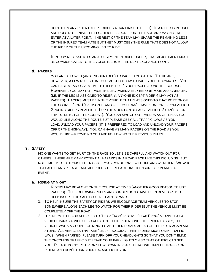HURT THEN ANY RIDER EXCEPT RIDERS 4 CAN FINISH THE LEG). IF A RIDER IS INJURED AND DOES NOT FINISH THE LEG, HE/SHE IS DONE FOR THE RACE AND MAY NOT RE-ENTER AT A LATER POINT. THE REST OF THE TEAM MAY SHARE THE REMAINING LEGS OF THE INJURED TEAM MATE BUT THEY MUST OBEY THE RULE THAT DOES NOT ALLOW THE RIDER OF THE UPCOMING LEG TO RIDE.

IF INJURY NECESSITATES AN ADJUSTMENT IN RIDER ORDER, THAT ADJUSTMENT MUST BE COMMUNICATED TO THE VOLUNTEERS AT THE NEXT EXCHANGE POINT.

## **d. PACERS**

YOU ARE ALLOWED (AND ENCOURAGED) TO PACE EACH OTHER. THERE ARE, HOWEVER, A FEW RULES THAT YOU MUST FOLLOW TO PACE YOUR TEAMMATES. YOU CAN PACE AT ANY GIVEN TIME TO HELP "PULL" YOUR RACER ALONG THE COURSE. HOWEVER, YOU MAY NOT PACE THE LEG IMMEDIATELY BEFORE YOUR ASSIGNED LEG (I.E. IF THE LEG IS ASSIGNED TO RIDER 3, ANYONE EXCEPT RIDER 4 MAY ACT AS PACERS). PACERS MUST BE IN THE VEHICLE THAT IS ASSIGNED TO THAT PORTION OF THE COURSE (FOR 10 PERSON TEAMS – I.E. YOU CAN'T HAVE SOMEONE FROM VEHICLE 2 PACING RIDERS IN VEHICLE 1 UP THE MOUNTAIN BECAUSE VEHICLE 2 CAN'T BE ON THAT STRETCH OF THE COURSE). YOU CAN SWITCH OUT PACERS AS OFTEN AS YOU WOULD LIKE ALONG THE ROUTE BUT PLEASE OBEY ALL TRAFFIC LAWS AS YOU LOAD/UNLOAD YOUR PACERS (IT IS PREFERRED TO LOAD AND UNLOAD YOUR PACERS OFF OF THE HIGHWAY). YOU CAN HAVE AS MANY PACERS ON THE ROAD AS YOU WOULD LIKE – PROVIDING YOU ARE FOLLOWING THE PREVIOUS RULES.

## **9. SAFETY**

NO ONE WANTS TO GET HURT ON THE RACE SO LET'S BE CAREFUL AND WATCH OUT FOR OTHERS. THERE ARE MANY POTENTIAL HAZARDS IN A ROAD RACE LIKE THIS INCLUDING, BUT NOT LIMITED TO: AUTOMOBILE TRAFFIC, ROAD CONDITIONS, WILDLIFE AND WEATHER. WE ASK THAT ALL TEAMS PLEASE TAKE APPROPRIATE PRECAUTIONS TO INSURE A FUN AND SAFE EVENT.

#### **a. RIDING AT NIGHT**

RIDERS MAY BE ALONE ON THE COURSE AT TIMES (ANOTHER GOOD REASON TO USE PACERS). THE FOLLOWING RULES AND SUGGESTIONS HAVE BEEN DEVELOPED TO HELP INSURE THE SAFETY OF ALL PARTICIPANTS.

- 1. TO HELP INSURE THE SAFETY OF RIDERS WE ENCOURAGE TEAM VEHICLES TO STOP SOMEWHERE ALONG EACH LEG TO WATCH FOR THEIR RIDER (BUT THE VEHICLE MUST BE COMPLETELY OFF THE ROAD).
- 2. IT IS PERMITTED FOR VEHICLES TO "LEAP FROG" RIDERS. "LEAP FROG" MEANS THAT A VEHICLE PARKS A MILE OR SO AHEAD OF THEIR RIDER, ONCE THE RIDER PASSES, THE VEHICLE WAITS A COUPLE OF MINUTES AND THEN DRIVES AHEAD OF THE RIDER AGAIN AND STOPS. ALL VEHICLES THAT ARE "LEAP FROGGING" THEIR RIDERS MUST OBEY TRAFFIC LAWS. WHEN PARKED, PLEASE TURN OFF YOUR HEADLIGHTS SO THAT YOU DON'T BLIND THE ONCOMING TRAFFIC BUT LEAVE YOUR PARK LIGHTS ON SO THAT OTHERS CAN SEE YOU. PLEASE DO NOT STOP OR SLOW DOWN IN PLACES THAT WILL IMPEDE TRAFFIC OR RIDERS AND DON'T TURN YOUR HAZARD LIGHTS ON.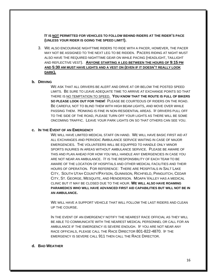**IT IS NOT PERMITTED FOR VEHICLES TO FOLLOW BEHIND RIDERS AT THE RIDER'S PACE (UNLESS YOUR RIDER IS GOING THE SPEED LIMIT!).**

3. WE ALSO ENCOURAGE NIGHTTIME RIDERS TO RIDE WITH A PACER, HOWEVER, THE PACER MAY NOT BE ASSIGNED TO THE NEXT LEG TO BE RIDDEN. PACERS RIDING AT NIGHT MUST ALSO HAVE THE REQUIRED NIGHTTIME GEAR ON WHILE PACING (HEADLIGHT, TAILLIGHT AND REFLECTIVE VEST). **ANYONE STARTING A LEG BETWEEN THE HOURS OF 9:15 PM AND 5:30 AM MUST HAVE LIGHTS AND A VEST ON (EVEN IF IT DOESN'T REALLY LOOK DARK).**

## **b. DRIVING**

WE ASK THAT ALL DRIVERS BE ALERT AND DRIVE AT OR BELOW THE POSTED SPEED LIMITS. BE SURE TO LEAVE ADEQUATE TIME TO ARRIVE AT EXCHANGE POINTS SO THAT THERE IS NO TEMPTATION TO SPEED. **YOU KNOW THAT THE ROUTE IS FULL OF BIKERS SO PLEASE LOOK OUT FOR THEM!** PLEASE BE COURTEOUS OF RIDERS ON THE ROAD. BE CAREFUL NOT TO BLIND THEM WITH HIGH BEAM LIGHTS, AND MOVE OVER WHILE PASSING THEM. HONKING IS FINE IN NON-RESIDENTIAL AREAS. IF DRIVERS PULL OFF TO THE SIDE OF THE ROAD, PLEASE TURN OFF YOUR LIGHTS AS THERE WILL BE SOME ONCOMING TRAFFIC. LEAVE YOUR PARK LIGHTS ON SO THAT OTHERS CAN SEE YOU.

#### **c. IN THE EVENT OF AN EMERGENCY**

WE WILL HAVE LIMITED MEDICAL STAFF ON HAND. WE WILL HAVE BASIC FIRST AID AT ALL EXCHANGES AND PERIODIC AMBULANCE SERVICE WAITING IN CASE OF MAJOR EMERGENCIES. THE VOLUNTEERS WILL BE EQUIPPED TO HANDLE ONLY MINOR SPORTS INJURIES IN AREAS WITHOUT AMBULANCE SERVICE. PLEASE BE AWARE OF THIS AND PLAN AHEAD FOR HOW YOU WILL HANDLE ANY EMERGENCIES IN CASE YOU ARE NOT NEAR AN AMBULANCE. IT IS THE RESPONSIBILITY OF EACH TEAM TO BE AWARE OF THE LOCATION OF HOSPITALS AND OTHER MEDICAL FACILITIES AND THEIR HOURS OF OPERATION. FOR REFERENCE: THERE ARE HOSPITALS IN SALT LAKE CITY, SOUTH UTAH COUNTY/PAYSON, GUNNISON, RICHFIELD, PANGUITCH, CEDAR CITY, ST. GEORGE, MESQUITE, AND HENDERSON. MOAPA VALLEY HAS A MEDICAL CLINIC BUT IT MAY BE CLOSED DUE TO THE HOUR. **WE WILL ALSO HAVE ROAMING PARAMEDICS WHO WILL HAVE ADVANCED FIRST AID CAPABILITIES BUT WILL NOT BE IN AN AMBULANCE.**

WE WILL HAVE A SUPPORT VEHICLE THAT WILL FOLLOW THE LAST RIDERS AND CLEAN UP THE COURSE.

IN THE EVENT OF AN EMERGENCY NOTIFY THE NEAREST RACE OFFICIAL AS THEY WILL BE ABLE TO COMMUNICATE WITH THE NEAREST MEDICAL PERSONNEL OR CALL FOR AN AMBULANCE IF THE EMERGENCY IS SEVERE ENOUGH. IF YOU ARE NOT NEAR ANY RACE OFFICIALS, PLEASE CALL THE RACE DIRECTOR 801-822-4870. IF THE EMERGENCY IS SEVERE CALL 911 THEN CALL THE RACE DIRECTOR.

## **d. BAD WEATHER**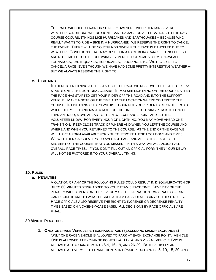THE RACE WILL OCCUR RAIN OR SHINE. HOWEVER, UNDER CERTAIN SEVERE WEATHER CONDITIONS WHERE SIGNIFICANT DAMAGE OR ALTERCATIONS TO THE RACE COURSE OCCURS, (THINGS LIKE HURRICANES AND EARTHQUAKES – BECAUSE WHO REALLY WANTS TO RIDE A BIKE IN A HURRICANE!), WE RESERVE THE RIGHT TO CANCEL THE EVENT. THERE WILL BE NO REFUNDS GIVEN IF THE RACE IS CANCELED DUE TO WEATHER. CONDITIONS THAT MAY RESULT IN A RACE BEING CANCELED INCLUDE BUT ARE NOT LIMITED TO THE FOLLOWING: SEVERE ELECTRICAL STORM, SNOWFALL, TORNADOES, EARTHQUAKES, HURRICANES, FLOODING, ETC. WE HAVE YET TO CANCEL A RACE, EVEN THOUGH WE HAVE HAD SOME PRETTY INTERESTING WEATHER – BUT WE ALWAYS RESERVE THE RIGHT TO.

#### **e. LIGHTNING**

IF THERE IS LIGHTNING AT THE START OF THE RACE WE RESERVE THE RIGHT TO DELAY STARTS UNTIL THE LIGHTNING CLEARS. IF YOU SEE LIGHTNING ON THE COURSE AFTER THE RACE HAS STARTED GET YOUR RIDER OFF THE ROAD AND INTO THE SUPPORT VEHICLE. MAKE A NOTE OF THE TIME AND THE LOCATION WHERE YOU EXITED THE COURSE. IF LIGHTNING CLEARS WITHIN 1 HOUR PUT YOUR RIDER BACK ON THE ROAD WHERE THEY LEFT AND MAKE A NOTE OF THE TIME. IF LIGHTNING PERSISTS LONGER THAN AN HOUR, MOVE AHEAD TO THE NEXT EXCHANGE POINT AND LET THE VOLUNTEER KNOW. FOR EVERY HOUR OF LIGHTNING, YOU MAY MOVE AHEAD ONE TRANSITION. KEEP CLOSE TRACK OF WHERE AND WHEN YOU LEFT THE COURSE AND WHERE AND WHEN YOU RETURNED TO THE COURSE. AT THE END OF THE RACE WE WILL HAVE A FORM AVAILABLE FOR YOU TO REPORT THESE LOCATIONS AND TIMES. WE WILL THEN CALCULATE YOUR AVERAGE PACE AND APPLY THIS PACE TO THE SEGMENT OF THE COURSE THAT YOU MISSED. IN THIS WAY WE WILL ADJUST ALL OVERALL RACE TIMES. IF YOU DON'T FILL OUT AN OFFICIAL FORM THEN YOUR DELAY WILL NOT BE FACTORED INTO YOUR OVERALL TIMING.

#### **10. RULES**

#### **a. PENALTIES**

VIOLATION OF ANY OF THE FOLLOWING RULES COULD RESULT IN DISQUALIFICATION OR 30 TO 60 MINUTES BEING ADDED TO YOUR TEAM'S RACE TIME. SEVERITY OF THE PENALTY WILL DEPEND ON THE SEVERITY OF THE INFRACTION. ANY RACE OFFICIAL CAN DECIDE IF AND TO WHAT DEGREE A TEAM HAS VIOLATED ANY OF THESE RULES. RACE OFFICIALS ALSO RESERVE THE RIGHT TO INCREASE OR DECREASE PENALTY TIMES BASED ON A CASE-BY-CASE BASIS. ALL DECISIONS BY RACE OFFICIALS ARE FINAL.

## **30 MINUTE PENALTIES**

**1. ONLY ONE RACE VEHICLE PER EXCHANGE POINT (EXCLUDING MAJOR EXCHANGES)** ONLY ONE RACE VEHICLE IS ALLOWED TO PARK AT EACH EXCHANGE POINT. VEHICLE ONE IS ALLOWED AT EXCHANGE POINTS 1-4, 11-14, AND 21-24. VEHICLE TWO IS ALLOWED AT EXCHANGE POINTS 6-9, 16-19, AND 26-29. BOTH VEHICLES ARE ALLOWED AT EVERY FIFTH TRANSITION POINT (MAJOR EXCHANGES 5, 10, 15, 20, AND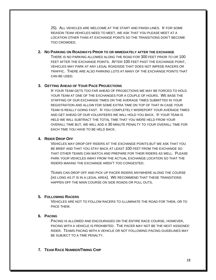25). ALL VEHICLES ARE WELCOME AT THE START AND FINISH LINES. IF FOR SOME REASON TEAM VEHICLES NEED TO MEET, WE ASK THAT YOU PLEASE MEET AT A LOCATION OTHER THAN AT EXCHANGE POINTS SO THE TRANSITIONS DON'T BECOME TOO CROWDED.

#### **2. NO PARKING ON ROADWAYS PRIOR TO OR IMMEDIATELY AFTER THE EXCHANGE**

THERE IS NO PARKING ALLOWED ALONG THE ROAD FOR 300 FEET PRIOR TO OR 100 FEET AFTER THE EXCHANGE POINTS. AFTER 100 FEET PAST THE EXCHANGE POINT, VEHICLES MAY PARK AT ANY LEGAL ROADSIDE THAT DOES NOT IMPEDE RACERS OR TRAFFIC. THERE ARE ALSO PARKING LOTS AT MANY OF THE EXCHANGE POINTS THAT CAN BE USED.

## **3. GETTING AHEAD OF YOUR PACE PROJECTIONS**

IF YOUR TEAM GETS TOO FAR AHEAD OF PROJECTIONS WE MAY BE FORCED TO HOLD YOUR TEAM AT ONE OF THE EXCHANGES FOR A COUPLE OF HOURS. WE BASE THE STAFFING OF OUR EXCHANGE TIMES ON THE AVERAGE TIMES SUBMITTED IN YOUR REGISTRATION AND ALLOW FOR SOME EXTRA TIME ON TOP OF THAT IN CASE YOUR TEAM IS REALLY GOING FAST. IF YOU COMPLETELY MISREPORT YOUR AVERAGE TIMES AND GET AHEAD OF OUR VOLUNTEERS WE WILL HOLD YOU BACK. IF YOUR TEAM IS HELD WE WILL SUBTRACT THE TOTAL TIME THAT YOU WERE HELD FROM YOUR OVERALL TIME BUT, WE WILL ADD A 30 MINUTE PENALTY TO YOUR OVERALL TIME FOR EACH TIME YOU HAVE TO BE HELD BACK.

## **4. RIDER DROP OFF**

VEHICLES MAY DROP OFF RIDERS AT THE EXCHANGE POINTS BUT WE ASK THAT YOU BE BRIEF AND THAT YOU STAY BACK AT LEAST 100 FEET FROM THE EXCHANGE SO THAT OTHER TEAMS CAN WATCH AND PREPARE FOR THEIR RIDERS AS WELL. PLEASE PARK YOUR VEHICLES AWAY FROM THE ACTUAL EXCHANGE LOCATION SO THAT THE RIDERS MAKING THE EXCHANGE AREN'T TOO CONGESTED.

TEAMS CAN DROP OFF AND PICK UP PACER RIDERS ANYWHERE ALONG THE COURSE (AS LONG AS IT IS IN A LEGAL AREA). WE RECOMMEND THAT THESE TRANSITIONS HAPPEN OFF THE MAIN COURSE ON SIDE ROADS OR PULL OUTS.

## **5. FOLLOWING RACERS**

VEHICLES ARE NOT TO FOLLOW RACERS TO ILLUMINATE THE ROAD FOR THEM, OR TO PACE THEM.

## **6. PACING**

PACING IS ALLOWED AND ENCOURAGED ON THE ENTIRE RACE COURSE, HOWEVER, PACING WITH A VEHICLE IS PROHIBITED. THE PACER MAY NOT BE THE NEXT ASSIGNED RIDER. TEAMS PACING WITH A VEHICLE OR NOT FOLLOWING PACING GUIDELINES MAY BE SUBJECT TO A TIME PENALTY.

## **7. TEAM RACE NUMBER/TIMING CHIP**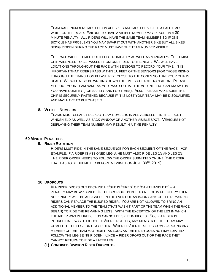TEAM RACE NUMBERS MUST BE ON ALL BIKES AND MUST BE VISIBLE AT ALL TIMES WHILE ON THE ROAD. FAILURE TO HAVE A VISIBLE NUMBER MAY RESULT IN A 30 MINUTE PENALTY. ALL RIDERS WILL HAVE THE SAME TEAM NUMBERS SO IF ONE BICYCLE HAS PROBLEMS YOU MAY SWAP IT OUT WITH ANOTHER BIKE BUT ALL BIKES BEING RIDDEN DURING THE RACE MUST HAVE THE TEAM NUMBER VISIBLE.

THE RACE WILL BE TIMED BOTH ELECTRONICALLY AS WELL AS MANUALLY. THE TIMING CHIP WILL NEED TO BE PASSED FROM ONE RIDER TO THE NEXT. WE WILL HAVE LOCATIONS THROUGHOUT THE RACE WITH SENSORS TO RECORD YOUR TIME. IT IS IMPORTANT THAT RIDERS PASS WITHIN 10 FEET OF THE SENSORS (FOR THOSE RIDING THROUGH THE TRANSITION PLEASE RIDE CLOSE TO THE CONES SO THAT YOUR CHIP IS READ). WE WILL ALSO BE WRITING DOWN THE TIMES AT EACH TRANSITION. PLEASE YELL OUT YOUR TEAM NAME AS YOU PASS SO THAT THE VOLUNTEERS CAN KNOW THAT YOU HAVE GONE BY (FOR SAFETY AND FOR TIMES). ALSO, PLEASE MAKE SURE THE CHIP IS SECURELY FASTENED BECAUSE IF IT IS LOST YOUR TEAM MAY BE DISQUALIFIED AND MAY HAVE TO PURCHASE IT.

## **8. VEHICLE NUMBERS**

TEAMS MUST CLEARLY DISPLAY TEAM NUMBERS IN ALL VEHICLES – IN THE FRONT WINDSHIELD AS WELL AS BACK WINDOW OR ANOTHER VISIBLE SPOT. VEHICLES NOT DISPLAYING THEIR TEAM NUMBER MAY RESULT IN A TIME PENALTY.

## **60 MINUTE PENALTIES**

## **9. RIDER ROTATION**

RIDERS MUST RIDE IN THE SAME SEQUENCE FOR EACH SEGMENT OF THE RACE. FOR EXAMPLE, IF A RIDER IS ASSIGNED LEG 3, HE MUST ALSO RIDE LEG 13 AND LEG 23. THE RIDER ORDER NEEDS TO FOLLOW THE ORDER SUBMITTED ONLINE (THE ORDER THAT HAS TO BE SUBMITTED BEFORE MIDNIGHT ON  $\sf JUNE~30^{th},$   $2019)$ .

#### **10. DROPOUTS**

IF A RIDER DROPS OUT BECAUSE HE/SHE IS "TIRED" OR "CAN'T HANDLE IT" – A PENALTY MAY BE ASSIGNED. IF THE DROP OUT IS DUE TO A LEGITIMATE INJURY THEN NO PENALTY WILL BE ASSIGNED. IN THE EVENT OF AN INJURY ANY OF THE REMAINING RIDERS CAN REPLACE THE INJURED RIDER. YOU ARE NOT ALLOWED TO BRING AN ADDITIONAL MEMBER TO THE TEAM (THAT WASN'T PART OF THE TEAM WHEN THE RACE BEGAN) TO RIDE THE REMAINING LEGS. WITH THE EXCEPTION OF THE LEG IN WHICH THE RIDER WAS INJURED, LEGS CANNOT BE SPLIT IN PIECES. SO, IF A RIDER IS INJURED HALF WAY THROUGH HIS/HER FIRST LEG, ANY MEMBER OF THE TEAM MAY COMPLETE THE LEG FOR HIM OR HER. WHEN HIS/HER NEXT LEG COMES AROUND ANY MEMBER OF THE TEAM MAY RIDE IT AS LONG AS THE RIDER DOES NOT IMMEDIATELY FOLLOW THE LEG BEING RIDDEN. ONCE A RIDER DROPS OUT OF THE RACE THEY CANNOT RETURN TO RIDE A LATER LEG.

**(1) COMBINED DIVISION RIDER DROPOUTS**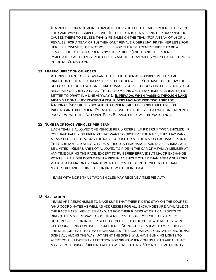IF A RIDER FROM A COMBINED DIVISION DROPS OUT OF THE RACE, RIDERS ADJUST IN THE SAME WAY DESCRIBED ABOVE. IF THE RIDER IS FEMALE AND HER DROPPING OUT CAUSES THERE TO BE LESS THAN 2 FEMALES ON THE TEAM (FOR A TEAM OF 5) OR 5 FEMALES (FOR A TEAM OF 10) THEN ONLY FEMALE RIDERS MAY FINISH HER LEGS FOR HER. IF, HOWEVER, IT IS NOT POSSIBLE FOR THE REPLACEMENT RIDER TO BE A FEMALE DUE TO RIDER ORDER, ANY OTHER RIDER (EXCLUDING THE RIDERS IMMEDIATELY AFTER) MAY RIDE HER LEG AND THE TEAM WILL SIMPLY BE CATEGORIZED IN THE MEN'S DIVISION.

## **11. TRAFFIC DIRECTION OF RIDERS**

ALL RIDERS ARE TO RIDE AS FAR TO THE SHOULDER AS POSSIBLE IN THE SAME DIRECTION OF TRAFFIC UNLESS DIRECTED OTHERWISE. YOU HAVE TO FOLLOW THE RULES OF THE ROAD SO DON'T TAKE CHANCES GOING THROUGH INTERSECTIONS JUST BECAUSE YOU ARE IN A RACE. THAT ALSO MEANS ONLY TWO RIDERS ABREAST (IT IS BETTER TO DRAFT IN A LINE ANYWAY!). **IN NEVADA, WHEN PASSING THROUGH LAKE MEAD NATIONAL RECREATION AREA, RIDERS MAY NOT RIDE TWO ABREAST. NATIONAL PARK RULES DICTATE THAT RIDERS MUST BE SINGLE FILE UNLESS PASSING ANOTHER RIDER.** PLEASE OBSERVE THIS RULE SO THAT WE DON'T RUN INTO PROBLEMS WITH THE NATIONAL PARK SERVICE (THEY WILL BE WATCHING).

## **12. NUMBER OF RACE VEHICLES PER TEAM**

EACH TEAM IS ALLOWED ONE VEHICLE PER 5 RIDERS (10 RIDERS = TWO VEHICLES). IF YOU HAVE FAMILY OR FRIENDS THAT WANT TO OBSERVE THE RACE, THEY MAY PARK AT ANY LEGAL SPOT ALONG THE RACE COURSE OR AT THE MAJOR EXCHANGE POINTS. THEY ARE NOT ALLOWED TO PARK AT REGULAR EXCHANGE POINTS AS PARKING WILL BE LIMITED. RIDERS ARE NOT ALLOWED TO RIDE IN THE CAR OF A FAMILY MEMBER AT ANY TIME DURING THE RACE, EXCEPT TO RUN BRIEF ERRANDS AT MAJOR EXCHANGE POINTS. IF A RIDER DOES CATCH A RIDE IN A VEHICLE OTHER THAN A TEAM SUPPORT VEHICLE AT A MAJOR EXCHANGE POINT THEY MUST BE RETURNED TO THE SAME MAJOR EXCHANGE POINT TO CONTINUE WITH THEIR TEAM.

TEAMS WITH MORE THAN TWO VEHICLES MAY RECEIVE A TIME PENALTY.

#### **13. NAVIGATION**

TEAMS ARE RESPONSIBLE TO MAKE SURE THAT THEIR RIDERS STAY ON THE COURSE. GPS COORDINATES AS WELL AS ADDRESSES FOR ALL EXCHANGES ARE AVAILABLE ON THE RACE MAPS. VEHICLES MAY WAIT FOR THEIR RIDERS AT CRITICAL POINTS TO DIRECT THEM WHICH WAY TO GO. IF A RIDER GETS OFF COURSE, THEY ARE TO RETURN ON BIKE OR IN THEIR SUPPORT VEHICLE TO THE POINT WHERE THEY WENT OFF COURSE AND CONTINUE FROM THERE. DO NOT DRIVE AHEAD TO MAKE UP FOR THE MILEAGE THAT THEY MAY HAVE ADDED. THE COURSE WILL CONTAIN DIRECTIONAL SIGNS ALL ALONG THE WAY. AT NIGHT THE SIGNS WILL HAVE BLINKING LIGHTS TO ALERT YOU. PLEASE PAY ATTENTION FOR SIGNS WHEN COMING UP TO AREAS THAT MAY BE CONFUSING. SKIPPING AHEAD WILL RESULT IN A 60 MINUTE TIME PENALTY.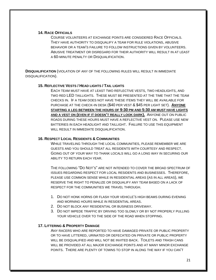#### **14. RACE OFFICIALS**

COURSE VOLUNTEERS AT EXCHANGE POINTS ARE CONSIDERED RACE OFFICIALS. THEY HAVE AUTHORITY TO DISQUALIFY A TEAM FOR RULE VIOLATIONS, ABUSIVE BEHAVIOR OR A TEAM'S FAILURE TO FOLLOW INSTRUCTIONS GIVEN BY VOLUNTEERS. ABUSIVE TREATMENT OR DISREGARD FOR THEIR AUTHORITY WILL RESULT IN AT LEAST A 60-MINUTE PENALTY OR DISQUALIFICATION.

**DISQUALIFICATION** (VIOLATION OF ANY OF THE FOLLOWING RULES WILL RESULT IN IMMEDIATE DISQUALIFICATION).

# **15. REFLECTIVE VESTS / HEAD LIGHTS / TAIL LIGHTS**

EACH TEAM MUST HAVE AT LEAST TWO REFLECTIVE VESTS, TWO HEADLIGHTS, AND TWO RED LED TAILLIGHTS. THESE MUST BE PRESENTED AT THE TIME THAT THE TEAM CHECKS IN. IF A TEAM DOES NOT HAVE THESE ITEMS THEY WILL BE AVAILABLE FOR PURCHASE AT THE CHECK-IN DESK (\$40 PER VEST & \$45 PER LIGHT SET). **ANYONE STARTING A LEG BETWEEN THE HOURS OF 9:30 PM AND 5:30 AM MUST HAVE LIGHTS AND A VEST ON (EVEN IF IT DOESN'T REALLY LOOK DARK).** ANYONE OUT ON PUBLIC ROADS DURING THESE HOURS MUST HAVE A REFLECTIVE VEST ON. PLEASE USE NEW BATTERIES IN EACH HEADLIGHT AND TAILLIGHT. FAILURE TO USE THIS EQUIPMENT WILL RESULT IN IMMEDIATE DISQUALIFICATION.

## **16. RESPECT LOCAL RESIDENTS & COMMUNITIES**

WHILE TRAVELING THROUGH THE LOCAL COMMUNITIES, PLEASE REMEMBER WE ARE GUESTS AND YOU SHOULD TREAT ALL RESIDENTS WITH COURTESY AND RESPECT. GOING OUT OF YOUR WAY TO THANK LOCALS WILL GO A LONG WAY IN SECURING OUR ABILITY TO RETURN EACH YEAR.

THE FOLLOWING "DO NOT'S" ARE NOT INTENDED TO COVER THE BROAD SPECTRUM OF ISSUES REGARDING RESPECT FOR LOCAL RESIDENTS AND BUSINESSES. THEREFORE, PLEASE USE COMMON SENSE WHILE IN RESIDENTIAL AREAS (AS IN ALL AREAS), WE RESERVE THE RIGHT TO PENALIZE OR DISQUALIFY ANY TEAM BASED ON A LACK OF RESPECT FOR THE COMMUNITIES WE TRAVEL THROUGH.

- 1. DO NOT HONK HORNS OR FLASH YOUR VEHICLE'S HIGH BEAMS DURING EVENING AND MORNING HOURS WHILE IN RESIDENTIAL AREAS.
- 2. DO NOT BLOCK ANY RESIDENTIAL OR BUSINESS DRIVEWAY.
- 3. DO NOT IMPEDE TRAFFIC BY DRIVING TOO SLOWLY OR BY NOT PROPERLY PULLING YOUR VEHICLE OVER TO THE SIDE OF THE ROAD WHEN STOPPING.

# **17. LITTERING & PROPERTY DAMAGE**

ANY RACERS WHO ARE REPORTED TO HAVE DAMAGED PRIVATE OR PUBLIC PROPERTY OR TO HAVE LITTERED, URINATED OR DEFECATED ON PRIVATE OR PUBLIC PROPERTY WILL BE DISQUALIFIED AND WILL NOT BE INVITED BACK. TOILETS AND TRASH CANS WILL BE PROVIDED AT ALL MAJOR EXCHANGE POINTS AND AT MANY MINOR EXCHANGE POINTS. THERE ARE PLENTY OF TOWNS TO STOP IN ALONG THE WAY IF YOU CAN'T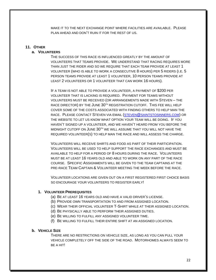MAKE IT TO THE NEXT EXCHANGE POINT WHERE FACILITIES ARE AVAILABLE. PLEASE PLAN AHEAD AND DON'T RUIN IT FOR THE REST OF US.

#### **11. OTHER**

#### **a. VOLUNTEERS**

THE SUCCESS OF THIS RACE IS INFLUENCED GREATLY BY THE AMOUNT OF VOLUNTEERS THAT TEAMS PROVIDE. WE UNDERSTAND THAT RACING REQUIRES MORE THAN JUST THE RIDER AND SO WE REQUIRE THAT EACH TEAM PROVIDE AT LEAST 1 VOLUNTEER (WHO IS ABLE TO WORK A CONSECUTIVE 8 HOURS) PER 5 RIDERS (I.E. 5 PERSON TEAMS PROVIDE AT LEAST 1 VOLUNTEER, 10 PERSON TEAMS PROVIDE AT LEAST 2 VOLUNTEERS OR 1 VOLUNTEER THAT CAN WORK 16 HOURS).

IF A TEAM IS NOT ABLE TO PROVIDE A VOLUNTEER, A PAYMENT OF \$200 PER VOLUNTEER THAT IS LACKING IS REQUIRED. PAYMENT FOR TEAMS WITHOUT VOLUNTEERS MUST BE RECEIVED (OR ARRANGEMENTS MADE WITH STEVEN – THE RACE DIRECTOR) BY THE JUNE 30TH REGISTRATION CUTOFF. THIS FEE WILL HELP COVER SOME OF THE COSTS ASSOCIATED WITH FINDING OTHERS TO HELP MAN THE RACE. PLEASE CONTACT STEVEN VIA EMAIL (STEVEN@[SAINTSTOSINNERS](mailto:steven@saintstosinners.com).COM) OR THE WEBSITE TO LET US KNOW WHAT OPTION YOUR TEAM WILL BE DOING. IF YOU HAVEN'T SIGNED UP A VOLUNTEER, AND WE HAVEN'T HEARD FROM YOU BEFORE THE MIDNIGHT CUTOFF ON JUNE 30TH WE WILL ASSUME THAT YOU WILL NOT HAVE THE REQUIRED VOLUNTEER(S) TO HELP MAN THE RACE AND WILL ASSESS THE CHARGE.

VOLUNTEERS WILL RECEIVE SHIRTS AND FOOD AS PART OF THEIR PARTICIPATION. VOLUNTEERS WILL BE USED TO HELP SUPPORT THE RACE EXCHANGES AND MUST BE AVAILABLE TO HELP FOR A PERIOD OF 8 HOURS DURING THE RACE. VOLUNTEERS MUST BE AT LEAST 16 YEARS OLD AND ABLE TO WORK ON ANY PART OF THE RACE COURSE. SPECIFIC ASSIGNMENTS WILL BE GIVEN TO THE TEAM CAPTAINS AT THE PRE-RACE TEAM CAPTAIN & VOLUNTEER MEETING THE WEEK BEFORE THE RACE.

VOLUNTEER LOCATIONS ARE GIVEN OUT ON A FIRST REGISTERED FIRST CHOICE BASIS SO ENCOURAGE YOUR VOLUNTEERS TO REGISTER EARLY!

## **1. VOLUNTEER PREREQUISITES**

- (a) BE AT LEAST 16 YEARS OLD AND HAVE A VALID DRIVER'S LICENSE.
- (b) PROVIDE OWN TRANSPORTATION TO AND FROM ASSIGNED LOCATION.
- (c) WEAR THEIR OFFICIAL VOLUNTEER T-SHIRT WHILE AT THEIR ASSIGNED LOCATION.
- (d) BE PHYSICALLY ABLE TO PERFORM THEIR ASSIGNED DUTIES.
- (e) BE WILLING TO FULFILL ANY ASSIGNED VOLUNTEER TIME.
- (f) BE WILLING TO FULFILL THEIR ENTIRE SHIFT AT AN ASSIGNED LOCATION.

#### **b. VEHICLE SIZE**

THERE ARE NO RESTRICTIONS ON VEHICLE SIZE, AS LONG AS YOU CAN PULL YOUR VEHICLE COMPLETELY OFF THE SIDE OF THE ROAD. MOTORHOMES ALWAYS SEEM TO BE A HIT!